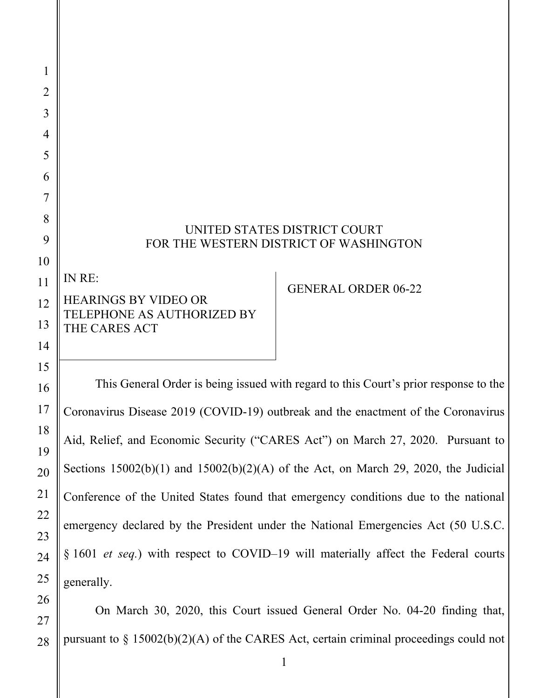| 1              |                                                                                      |                            |
|----------------|--------------------------------------------------------------------------------------|----------------------------|
| 2              |                                                                                      |                            |
| 3              |                                                                                      |                            |
| $\overline{4}$ |                                                                                      |                            |
| 5              |                                                                                      |                            |
| 6              |                                                                                      |                            |
|                |                                                                                      |                            |
| 8              |                                                                                      |                            |
| 9              | UNITED STATES DISTRICT COURT<br>FOR THE WESTERN DISTRICT OF WASHINGTON               |                            |
| 10             |                                                                                      |                            |
| 11             | IN RE:                                                                               | <b>GENERAL ORDER 06-22</b> |
| 12             | <b>HEARINGS BY VIDEO OR</b>                                                          |                            |
| 13             | TELEPHONE AS AUTHORIZED BY<br>THE CARES ACT                                          |                            |
| 14             |                                                                                      |                            |
| 15             |                                                                                      |                            |
| 16             | This General Order is being issued with regard to this Court's prior response to the |                            |

Coronavirus Disease 2019 (COVID-19) outbreak and the enactment of the Coronavirus Aid, Relief, and Economic Security ("CARES Act") on March 27, 2020. Pursuant to Sections  $15002(b)(1)$  and  $15002(b)(2)(A)$  of the Act, on March 29, 2020, the Judicial Conference of the United States found that emergency conditions due to the national emergency declared by the President under the National Emergencies Act (50 U.S.C. § 1601 *et seq.*) with respect to COVID–19 will materially affect the Federal courts generally.

 On March 30, 2020, this Court issued General Order No. 04-20 finding that, pursuant to § 15002(b)(2)(A) of the CARES Act, certain criminal proceedings could not